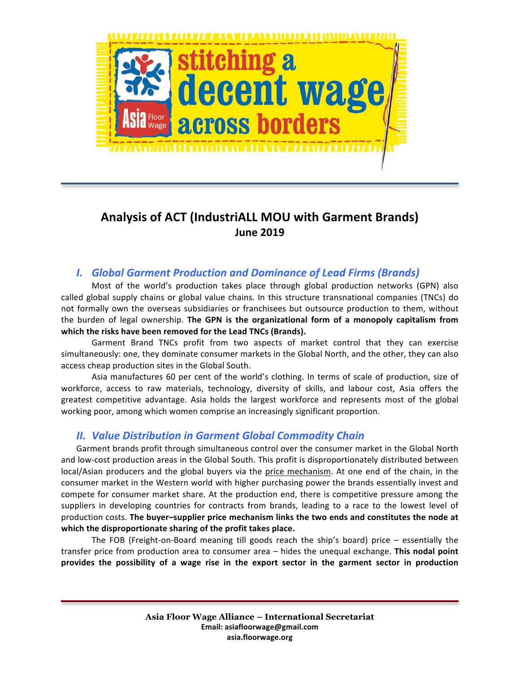

# Analysis of ACT (IndustriALL MOU with Garment Brands) **June 2019**

# **I.** *Global Garment Production and Dominance of Lead Firms (Brands)*

Most of the world's production takes place through global production networks (GPN) also called global supply chains or global value chains. In this structure transnational companies (TNCs) do not formally own the overseas subsidiaries or franchisees but outsource production to them, without the burden of legal ownership. The GPN is the organizational form of a monopoly capitalism from which the risks have been removed for the Lead TNCs (Brands).

Garment Brand TNCs profit from two aspects of market control that they can exercise simultaneously: one, they dominate consumer markets in the Global North, and the other, they can also access cheap production sites in the Global South.

Asia manufactures 60 per cent of the world's clothing. In terms of scale of production, size of workforce, access to raw materials, technology, diversity of skills, and labour cost, Asia offers the greatest competitive advantage. Asia holds the largest workforce and represents most of the global working poor, among which women comprise an increasingly significant proportion.

### **II. Value Distribution in Garment Global Commodity Chain**

Garment brands profit through simultaneous control over the consumer market in the Global North and low-cost production areas in the Global South. This profit is disproportionately distributed between local/Asian producers and the global buyers via the price mechanism. At one end of the chain, in the consumer market in the Western world with higher purchasing power the brands essentially invest and compete for consumer market share. At the production end, there is competitive pressure among the suppliers in developing countries for contracts from brands, leading to a race to the lowest level of production costs. The buyer-supplier price mechanism links the two ends and constitutes the node at which the disproportionate sharing of the profit takes place.

The FOB (Freight-on-Board meaning till goods reach the ship's board) price  $-$  essentially the transfer price from production area to consumer area - hides the unequal exchange. This nodal point provides the possibility of a wage rise in the export sector in the garment sector in production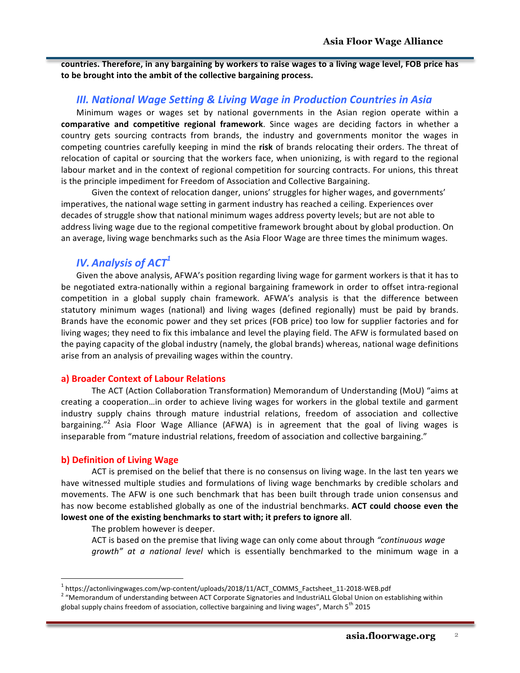countries. Therefore, in any bargaining by workers to raise wages to a living wage level, FOB price has to be brought into the ambit of the collective bargaining process.

### *III. National Wage Setting & Living Wage in Production Countries in Asia*

Minimum wages or wages set by national governments in the Asian region operate within a **comparative and competitive regional framework**. Since wages are deciding factors in whether a country gets sourcing contracts from brands, the industry and governments monitor the wages in competing countries carefully keeping in mind the risk of brands relocating their orders. The threat of relocation of capital or sourcing that the workers face, when unionizing, is with regard to the regional labour market and in the context of regional competition for sourcing contracts. For unions, this threat is the principle impediment for Freedom of Association and Collective Bargaining.

Given the context of relocation danger, unions' struggles for higher wages, and governments' imperatives, the national wage setting in garment industry has reached a ceiling. Experiences over decades of struggle show that national minimum wages address poverty levels; but are not able to address living wage due to the regional competitive framework brought about by global production. On an average, living wage benchmarks such as the Asia Floor Wage are three times the minimum wages.

# *IV. Analysis of ACT*<sup>1</sup>

Given the above analysis, AFWA's position regarding living wage for garment workers is that it has to be negotiated extra-nationally within a regional bargaining framework in order to offset intra-regional competition in a global supply chain framework. AFWA's analysis is that the difference between statutory minimum wages (national) and living wages (defined regionally) must be paid by brands. Brands have the economic power and they set prices (FOB price) too low for supplier factories and for living wages; they need to fix this imbalance and level the playing field. The AFW is formulated based on the paying capacity of the global industry (namely, the global brands) whereas, national wage definitions arise from an analysis of prevailing wages within the country.

#### **a) Broader Context of Labour Relations**

The ACT (Action Collaboration Transformation) Memorandum of Understanding (MoU) "aims at creating a cooperation...in order to achieve living wages for workers in the global textile and garment industry supply chains through mature industrial relations, freedom of association and collective bargaining."<sup>2</sup> Asia Floor Wage Alliance (AFWA) is in agreement that the goal of living wages is inseparable from "mature industrial relations, freedom of association and collective bargaining."

#### **b) Definition of Living Wage**

ACT is premised on the belief that there is no consensus on living wage. In the last ten years we have witnessed multiple studies and formulations of living wage benchmarks by credible scholars and movements. The AFW is one such benchmark that has been built through trade union consensus and has now become established globally as one of the industrial benchmarks. **ACT could choose even the** lowest one of the existing benchmarks to start with; it prefers to ignore all.

The problem however is deeper.

ACT is based on the premise that living wage can only come about through *"continuous wage* growth" at a national level which is essentially benchmarked to the minimum wage in a

<sup>&</sup>lt;sup>1</sup> https://actonlivingwages.com/wp-content/uploads/2018/11/ACT\_COMMS\_Factsheet\_11-2018-WEB.pdf <sup>2</sup> "Memorandum of understanding between ACT Corporate Signatories and IndustriALL Global Union on establishing within global supply chains freedom of association, collective bargaining and living wages", March 5<sup>th</sup> 2015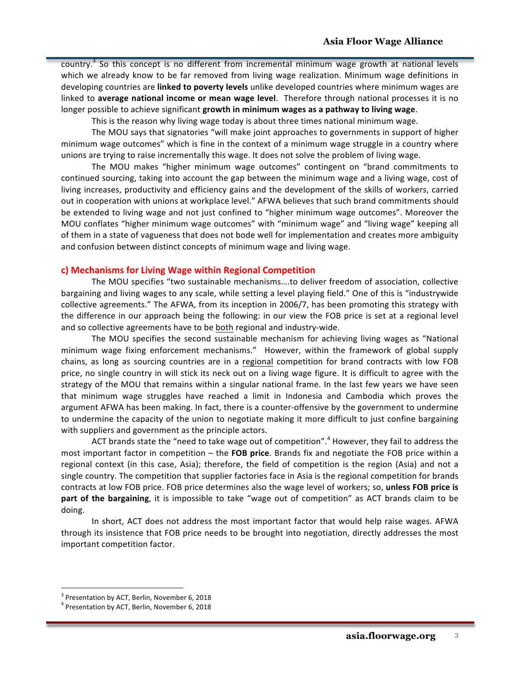country.<sup>3</sup> So this concept is no different from incremental minimum wage growth at national levels which we already know to be far removed from living wage realization. Minimum wage definitions in developing countries are **linked to poverty levels** unlike developed countries where minimum wages are linked to average national income or mean wage level. Therefore through national processes it is no longer possible to achieve significant **growth in minimum wages as a pathway to living wage**.

This is the reason why living wage today is about three times national minimum wage.

The MOU says that signatories "will make joint approaches to governments in support of higher minimum wage outcomes" which is fine in the context of a minimum wage struggle in a country where unions are trying to raise incrementally this wage. It does not solve the problem of living wage.

The MOU makes "higher minimum wage outcomes" contingent on "brand commitments to continued sourcing, taking into account the gap between the minimum wage and a living wage, cost of living increases, productivity and efficiency gains and the development of the skills of workers, carried out in cooperation with unions at workplace level." AFWA believes that such brand commitments should be extended to living wage and not just confined to "higher minimum wage outcomes". Moreover the MOU conflates "higher minimum wage outcomes" with "minimum wage" and "living wage" keeping all of them in a state of vagueness that does not bode well for implementation and creates more ambiguity and confusion between distinct concepts of minimum wage and living wage.

#### **c)** Mechanisms for Living Wage within Regional Competition

The MOU specifies "two sustainable mechanisms....to deliver freedom of association, collective bargaining and living wages to any scale, while setting a level playing field." One of this is "industrywide collective agreements." The AFWA, from its inception in 2006/7, has been promoting this strategy with the difference in our approach being the following: in our view the FOB price is set at a regional level and so collective agreements have to be both regional and industry-wide.

The MOU specifies the second sustainable mechanism for achieving living wages as "National minimum wage fixing enforcement mechanisms." However, within the framework of global supply chains, as long as sourcing countries are in a regional competition for brand contracts with low FOB price, no single country in will stick its neck out on a living wage figure. It is difficult to agree with the strategy of the MOU that remains within a singular national frame. In the last few years we have seen that minimum wage struggles have reached a limit in Indonesia and Cambodia which proves the argument AFWA has been making. In fact, there is a counter-offensive by the government to undermine to undermine the capacity of the union to negotiate making it more difficult to just confine bargaining with suppliers and government as the principle actors.

ACT brands state the "need to take wage out of competition".<sup>4</sup> However, they fail to address the most important factor in competition – the FOB price. Brands fix and negotiate the FOB price within a regional context (in this case, Asia); therefore, the field of competition is the region (Asia) and not a single country. The competition that supplier factories face in Asia is the regional competition for brands contracts at low FOB price. FOB price determines also the wage level of workers; so, unless FOB price is **part of the bargaining**, it is impossible to take "wage out of competition" as ACT brands claim to be doing.

In short, ACT does not address the most important factor that would help raise wages. AFWA through its insistence that FOB price needs to be brought into negotiation, directly addresses the most important competition factor.

 $3$  Presentation by ACT, Berlin, November 6, 2018

 $4$  Presentation by ACT, Berlin, November 6, 2018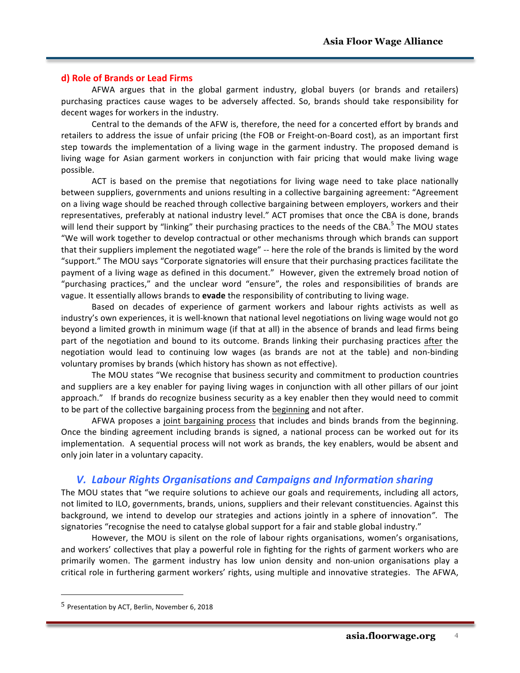#### **d) Role of Brands or Lead Firms**

AFWA argues that in the global garment industry, global buyers (or brands and retailers) purchasing practices cause wages to be adversely affected. So, brands should take responsibility for decent wages for workers in the industry.

Central to the demands of the AFW is, therefore, the need for a concerted effort by brands and retailers to address the issue of unfair pricing (the FOB or Freight-on-Board cost), as an important first step towards the implementation of a living wage in the garment industry. The proposed demand is living wage for Asian garment workers in conjunction with fair pricing that would make living wage possible.

ACT is based on the premise that negotiations for living wage need to take place nationally between suppliers, governments and unions resulting in a collective bargaining agreement: "Agreement on a living wage should be reached through collective bargaining between employers, workers and their representatives, preferably at national industry level." ACT promises that once the CBA is done, brands will lend their support by "linking" their purchasing practices to the needs of the CBA.<sup>5</sup> The MOU states "We will work together to develop contractual or other mechanisms through which brands can support that their suppliers implement the negotiated wage" -- here the role of the brands is limited by the word "support." The MOU says "Corporate signatories will ensure that their purchasing practices facilitate the payment of a living wage as defined in this document." However, given the extremely broad notion of "purchasing practices," and the unclear word "ensure", the roles and responsibilities of brands are vague. It essentially allows brands to **evade** the responsibility of contributing to living wage.

Based on decades of experience of garment workers and labour rights activists as well as industry's own experiences, it is well-known that national level negotiations on living wage would not go beyond a limited growth in minimum wage (if that at all) in the absence of brands and lead firms being part of the negotiation and bound to its outcome. Brands linking their purchasing practices after the negotiation would lead to continuing low wages (as brands are not at the table) and non-binding voluntary promises by brands (which history has shown as not effective).

The MOU states "We recognise that business security and commitment to production countries and suppliers are a key enabler for paying living wages in conjunction with all other pillars of our joint approach." If brands do recognize business security as a key enabler then they would need to commit to be part of the collective bargaining process from the beginning and not after.

AFWA proposes a joint bargaining process that includes and binds brands from the beginning. Once the binding agreement including brands is signed, a national process can be worked out for its implementation. A sequential process will not work as brands, the key enablers, would be absent and only join later in a voluntary capacity.

### *V. Labour Rights Organisations and Campaigns and Information sharing*

The MOU states that "we require solutions to achieve our goals and requirements, including all actors, not limited to ILO, governments, brands, unions, suppliers and their relevant constituencies. Against this background, we intend to develop our strategies and actions jointly in a sphere of innovation<sup>"</sup>. The signatories "recognise the need to catalyse global support for a fair and stable global industry."

However, the MOU is silent on the role of labour rights organisations, women's organisations, and workers' collectives that play a powerful role in fighting for the rights of garment workers who are primarily women. The garment industry has low union density and non-union organisations play a critical role in furthering garment workers' rights, using multiple and innovative strategies. The AFWA,

 $\overline{a}$ 

 $<sup>5</sup>$  Presentation by ACT, Berlin, November 6, 2018</sup>